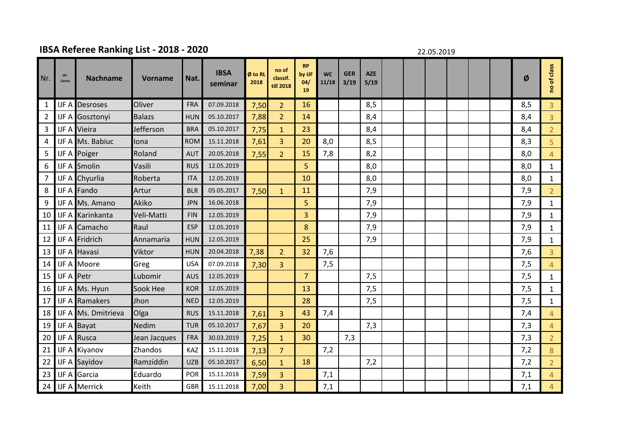## **IBSA Referee Ranking List - 2018 - 2020**

22.05.2019

| Nr.            | IJF-<br>Lizenz    | <b>Nachname</b>         | <b>Vorname</b> | Nat.       | <b>IBSA</b><br>seminar | Ø to RL<br>2018 | no of<br>classif.<br>till 2018 | <b>RP</b><br>by IJF<br>04/<br>19 | <b>WC</b><br>11/18 | <b>GER</b><br>3/19 | <b>AZE</b><br>5/19 |  |  |  | Ø   | of class<br><b>e</b> |
|----------------|-------------------|-------------------------|----------------|------------|------------------------|-----------------|--------------------------------|----------------------------------|--------------------|--------------------|--------------------|--|--|--|-----|----------------------|
| $\mathbf{1}$   |                   | <b>IJF A Desroses</b>   | Oliver         | FRA        | 07.09.2018             | 7,50            | $\overline{2}$                 | 16                               |                    |                    | 8,5                |  |  |  | 8,5 | $\overline{3}$       |
| $\overline{2}$ |                   | IJF A Gosztonyi         | <b>Balazs</b>  | <b>HUN</b> | 05.10.2017             | 7,88            | $\overline{2}$                 | 14                               |                    |                    | 8,4                |  |  |  | 8,4 | $\overline{3}$       |
| 3              |                   | <b>IJF A Vieira</b>     | Jefferson      | <b>BRA</b> | 05.10.2017             | 7,75            | $\mathbf{1}$                   | 23                               |                    |                    | 8,4                |  |  |  | 8,4 | $\overline{2}$       |
| 4              |                   | IJF A Ms. Babiuc        | Iona           | <b>ROM</b> | 15.11.2018             | 7,61            | $\overline{3}$                 | 20                               | 8,0                |                    | 8,5                |  |  |  | 8,3 | 5                    |
| 5              |                   | <b>IJF A</b> Poiger     | Roland         | <b>AUT</b> | 20.05.2018             | 7,55            | 2 <sup>1</sup>                 | 15                               | 7,8                |                    | 8,2                |  |  |  | 8,0 | $\overline{4}$       |
| 6              |                   | <b>IJF A Smolin</b>     | Vasili         | <b>RUS</b> | 12.05.2019             |                 |                                | 5                                |                    |                    | 8,0                |  |  |  | 8,0 | $\mathbf{1}$         |
| $\overline{7}$ |                   | IJF A Chyurlia          | Roberta        | <b>ITA</b> | 12.05.2019             |                 |                                | 10                               |                    |                    | 8,0                |  |  |  | 8,0 | $\mathbf{1}$         |
| 8              |                   | <b>IJF A Fando</b>      | Artur          | <b>BLR</b> | 05.05.2017             | 7,50            | $\mathbf{1}$                   | 11                               |                    |                    | 7,9                |  |  |  | 7,9 | $\overline{2}$       |
| 9              |                   | IJF A Ms. Amano         | Akiko          | <b>JPN</b> | 16.06.2018             |                 |                                | 5                                |                    |                    | 7,9                |  |  |  | 7,9 | $\mathbf{1}$         |
| 10             |                   | <b>IJF A Karinkanta</b> | Veli-Matti     | <b>FIN</b> | 12.05.2019             |                 |                                | 3                                |                    |                    | 7,9                |  |  |  | 7,9 | $\mathbf{1}$         |
| 11             |                   | <b>IJF A Camacho</b>    | Raul           | <b>ESP</b> | 12.05.2019             |                 |                                | 8                                |                    |                    | 7,9                |  |  |  | 7,9 | $\mathbf{1}$         |
| 12             |                   | <b>IJF A</b> Fridrich   | Annamaria      | <b>HUN</b> | 12.05.2019             |                 |                                | 25                               |                    |                    | 7,9                |  |  |  | 7,9 | $\mathbf{1}$         |
| 13             |                   | <b>IJF A Havasi</b>     | Viktor         | <b>HUN</b> | 20.04.2018             | 7,38            | $\overline{2}$                 | 32                               | 7,6                |                    |                    |  |  |  | 7,6 | 3                    |
| 14             |                   | <b>IJF A Moore</b>      | Greg           | <b>USA</b> | 07.09.2018             | 7,30            | $\overline{3}$                 |                                  | 7,5                |                    |                    |  |  |  | 7,5 | $\overline{4}$       |
| 15             | <b>IJF A Petr</b> |                         | Lubomir        | <b>AUS</b> | 12.05.2019             |                 |                                | $\overline{7}$                   |                    |                    | 7,5                |  |  |  | 7,5 | $\mathbf{1}$         |
| 16             |                   | IJF A Ms. Hyun          | Sook Hee       | <b>KOR</b> | 12.05.2019             |                 |                                | 13                               |                    |                    | 7,5                |  |  |  | 7,5 | $\mathbf{1}$         |
| 17             |                   | <b>IJF A Ramakers</b>   | Jhon           | <b>NED</b> | 12.05.2019             |                 |                                | 28                               |                    |                    | 7,5                |  |  |  | 7,5 | $\mathbf{1}$         |
| 18             |                   | IJF A Ms. Dmitrieva     | Olga           | <b>RUS</b> | 15.11.2018             | 7,61            | $\overline{3}$                 | 43                               | 7,4                |                    |                    |  |  |  | 7,4 | $\overline{4}$       |
| 19             |                   | IJF A Bayat             | Nedim          | <b>TUR</b> | 05.10.2017             | 7,67            | $\overline{3}$                 | 20                               |                    |                    | 7,3                |  |  |  | 7,3 | $\overline{4}$       |
| 20             |                   | <b>IJF A Rusca</b>      | Jean Jacques   | <b>FRA</b> | 30.03.2019             | 7,25            | $\mathbf{1}$                   | 30                               |                    | 7,3                |                    |  |  |  | 7,3 | $\overline{2}$       |
| 21             |                   | <b>IJF A Kiyanov</b>    | Zhandos        | KAZ        | 15.11.2018             | 7,13            | $\overline{7}$                 |                                  | 7,2                |                    |                    |  |  |  | 7,2 | $8\phantom{1}$       |
| 22             |                   | IJF A Sayidov           | Ramziddin      | <b>UZB</b> | 05.10.2017             | 6,50            | $\mathbf{1}$                   | 18                               |                    |                    | 7,2                |  |  |  | 7,2 | $\overline{2}$       |
| 23             |                   | <b>IJF A Garcia</b>     | Eduardo        | POR        | 15.11.2018             | 7,59            | $\overline{3}$                 |                                  | 7,1                |                    |                    |  |  |  | 7,1 | $\overline{4}$       |
| 24             |                   | <b>IJF A Merrick</b>    | Keith          | <b>GBR</b> | 15.11.2018             | 7,00            | $\overline{3}$                 |                                  | 7,1                |                    |                    |  |  |  | 7,1 | 4                    |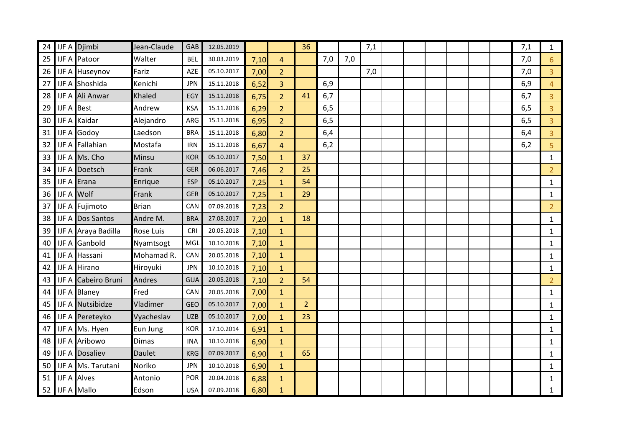| 24 |                   | IJF A Djimbi               | Jean-Claude      | GAB        | 12.05.2019 |      |                | 36             |     |     | 7,1 |  |  |  | 7,1 | $\mathbf{1}$   |
|----|-------------------|----------------------------|------------------|------------|------------|------|----------------|----------------|-----|-----|-----|--|--|--|-----|----------------|
| 25 |                   | <b>IJF A Patoor</b>        | Walter           | <b>BEL</b> | 30.03.2019 | 7,10 | 4              |                | 7,0 | 7,0 |     |  |  |  | 7,0 | $6\phantom{1}$ |
| 26 |                   | IJF A Huseynov             | Fariz            | AZE        | 05.10.2017 | 7,00 | $\overline{2}$ |                |     |     | 7,0 |  |  |  | 7,0 | $\overline{3}$ |
| 27 |                   | IJF A Shoshida             | Kenichi          | <b>JPN</b> | 15.11.2018 | 6,52 | 3              |                | 6,9 |     |     |  |  |  | 6,9 | $\overline{4}$ |
| 28 |                   | <b>IJF A Ali Anwar</b>     | <b>Khaled</b>    | EGY        | 15.11.2018 | 6,75 | $\overline{2}$ | 41             | 6,7 |     |     |  |  |  | 6,7 | $\overline{3}$ |
| 29 | <b>IJF A Best</b> |                            | Andrew           | <b>KSA</b> | 15.11.2018 | 6,29 | $\overline{2}$ |                | 6,5 |     |     |  |  |  | 6,5 | $\overline{3}$ |
| 30 |                   | <b>IJF A Kaidar</b>        | Alejandro        | ARG        | 15.11.2018 | 6,95 | $\overline{2}$ |                | 6,5 |     |     |  |  |  | 6,5 | $\overline{3}$ |
| 31 |                   | <b>IJF A Godoy</b>         | Laedson          | <b>BRA</b> | 15.11.2018 | 6,80 | $\overline{2}$ |                | 6,4 |     |     |  |  |  | 6,4 | $\overline{3}$ |
| 32 |                   | <b>IJF A Fallahian</b>     | Mostafa          | <b>IRN</b> | 15.11.2018 | 6,67 | $\overline{4}$ |                | 6,2 |     |     |  |  |  | 6,2 | $\overline{5}$ |
| 33 |                   | IJF A Ms. Cho              | Minsu            | <b>KOR</b> | 05.10.2017 | 7,50 | $\mathbf{1}$   | 37             |     |     |     |  |  |  |     | $\mathbf{1}$   |
| 34 |                   | <b>IJF A Doetsch</b>       | Frank            | <b>GER</b> | 06.06.2017 | 7,46 | $\overline{2}$ | 25             |     |     |     |  |  |  |     | $\overline{2}$ |
| 35 |                   | <b>IJF A Erana</b>         | Enrique          | <b>ESP</b> | 05.10.2017 | 7,25 | $\mathbf{1}$   | 54             |     |     |     |  |  |  |     | $\mathbf{1}$   |
| 36 |                   | <b>IJF A Wolf</b>          | Frank            | <b>GER</b> | 05.10.2017 | 7,25 | $\mathbf{1}$   | 29             |     |     |     |  |  |  |     | $\mathbf{1}$   |
| 37 |                   | <b>IJF A Fujimoto</b>      | <b>Brian</b>     | CAN        | 07.09.2018 | 7,23 | $\overline{2}$ |                |     |     |     |  |  |  |     | $\overline{2}$ |
| 38 |                   | <b>IJF A Dos Santos</b>    | Andre M.         | <b>BRA</b> | 27.08.2017 | 7,20 | $\mathbf{1}$   | 18             |     |     |     |  |  |  |     | $\mathbf{1}$   |
| 39 |                   | IJF A Araya Badilla        | <b>Rose Luis</b> | CRI        | 20.05.2018 | 7,10 | $\mathbf{1}$   |                |     |     |     |  |  |  |     | $\mathbf{1}$   |
| 40 |                   | <b>IJF A Ganbold</b>       | Nyamtsogt        | MGL        | 10.10.2018 | 7,10 | $\mathbf{1}$   |                |     |     |     |  |  |  |     | $\mathbf{1}$   |
| 41 |                   | IJF A Hassani              | Mohamad R.       | CAN        | 20.05.2018 | 7,10 | $\mathbf{1}$   |                |     |     |     |  |  |  |     | $\mathbf{1}$   |
| 42 |                   | <b>IJF A Hirano</b>        | Hiroyuki         | <b>JPN</b> | 10.10.2018 | 7,10 | $\mathbf{1}$   |                |     |     |     |  |  |  |     | $\mathbf{1}$   |
| 43 |                   | <b>IJF A Cabeiro Bruni</b> | <b>Andres</b>    | <b>GUA</b> | 20.05.2018 | 7,10 | $\overline{2}$ | 54             |     |     |     |  |  |  |     | $\overline{2}$ |
| 44 |                   | <b>IJF A Blaney</b>        | Fred             | CAN        | 20.05.2018 | 7,00 | $\mathbf{1}$   |                |     |     |     |  |  |  |     | $\mathbf{1}$   |
| 45 |                   | <b>IJF A Nutsibidze</b>    | Vladimer         | <b>GEO</b> | 05.10.2017 | 7,00 | $\mathbf{1}$   | $\overline{2}$ |     |     |     |  |  |  |     | $\mathbf{1}$   |
| 46 |                   | <b>IJF A Pereteyko</b>     | Vyacheslav       | <b>UZB</b> | 05.10.2017 | 7,00 | $\mathbf{1}$   | 23             |     |     |     |  |  |  |     | $\mathbf{1}$   |
| 47 |                   | IJF A Ms. Hyen             | Eun Jung         | <b>KOR</b> | 17.10.2014 | 6,91 | $\mathbf{1}$   |                |     |     |     |  |  |  |     | $\mathbf{1}$   |
| 48 |                   | <b>IJF A Aribowo</b>       | <b>Dimas</b>     | <b>INA</b> | 10.10.2018 | 6,90 | $\mathbf{1}$   |                |     |     |     |  |  |  |     | $\mathbf{1}$   |
| 49 |                   | <b>IJF A Dosaliev</b>      | <b>Daulet</b>    | <b>KRG</b> | 07.09.2017 | 6,90 | $\mathbf{1}$   | 65             |     |     |     |  |  |  |     | $\mathbf{1}$   |
| 50 |                   | IJF A Ms. Tarutani         | Noriko           | <b>JPN</b> | 10.10.2018 | 6,90 | $\mathbf{1}$   |                |     |     |     |  |  |  |     | $\mathbf{1}$   |
| 51 |                   | <b>IJF A Alves</b>         | Antonio          | <b>POR</b> | 20.04.2018 | 6,88 | $\mathbf{1}$   |                |     |     |     |  |  |  |     | $\mathbf{1}$   |
| 52 |                   | <b>IJF A Mallo</b>         | Edson            | <b>USA</b> | 07.09.2018 | 6,80 | $\mathbf{1}$   |                |     |     |     |  |  |  |     | $\mathbf{1}$   |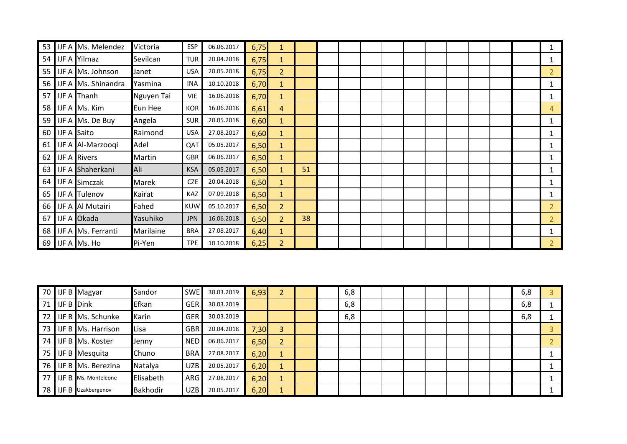| 53              | <b>IJF A Ms. Melendez</b>  | Victoria   | <b>ESP</b> | 06.06.2017 | 6,75 | 1              |    |  |  |  |  |  |                |
|-----------------|----------------------------|------------|------------|------------|------|----------------|----|--|--|--|--|--|----------------|
| 54              | IJF A Yilmaz               | Sevilcan   | <b>TUR</b> | 20.04.2018 | 6,75 | $\mathbf{1}$   |    |  |  |  |  |  |                |
| 55 <sub>1</sub> | <b>IJF A Ms. Johnson</b>   | Janet      | <b>USA</b> | 20.05.2018 | 6,75 | $\overline{2}$ |    |  |  |  |  |  | $\overline{2}$ |
| 56 l            | <b>IJF A Ms. Shinandra</b> | Yasmina    | <b>INA</b> | 10.10.2018 | 6,70 | $\mathbf{1}$   |    |  |  |  |  |  |                |
| 57              | <b>IJF A</b> Thanh         | Nguyen Tai | <b>VIE</b> | 16.06.2018 | 6,70 | $\mathbf{1}$   |    |  |  |  |  |  |                |
| 58 <sup>1</sup> | IJF A Ms. Kim              | Eun Hee    | <b>KOR</b> | 16.06.2018 | 6,61 | $\overline{4}$ |    |  |  |  |  |  | 4              |
|                 | 59 IJF A Ms. De Buy        | Angela     | <b>SUR</b> | 20.05.2018 | 6,60 | $\mathbf{1}$   |    |  |  |  |  |  |                |
| 60              | <b>IJF A Saito</b>         | Raimond    | <b>USA</b> | 27.08.2017 | 6,60 | $\mathbf{1}$   |    |  |  |  |  |  |                |
| 61              | IJF A Al-Marzoogi          | Adel       | QAT        | 05.05.2017 | 6,50 | $\mathbf{1}$   |    |  |  |  |  |  | 1              |
| 62              | <b>IJF A Rivers</b>        | Martin     | <b>GBR</b> | 06.06.2017 | 6,50 | $\mathbf{1}$   |    |  |  |  |  |  |                |
| 63              | <b>IJF A Shaherkani</b>    | Ali        | <b>KSA</b> | 05.05.2017 | 6,50 | $\mathbf{1}$   | 51 |  |  |  |  |  |                |
|                 | 64 JJF A Simczak           | Marek      | <b>CZE</b> | 20.04.2018 | 6,50 | $\mathbf{1}$   |    |  |  |  |  |  |                |
| 65              | <b>IJF A</b> Tulenov       | Kairat     | KAZ        | 07.09.2018 | 6,50 | $\mathbf{1}$   |    |  |  |  |  |  |                |
| 66 I            | <b>IJF A Al Mutairi</b>    | Fahed      | <b>KUW</b> | 05.10.2017 | 6,50 | $\overline{2}$ |    |  |  |  |  |  | $\overline{2}$ |
| 67              | IJF A Okada                | Yasuhiko   | <b>JPN</b> | 16.06.2018 | 6,50 | $\overline{2}$ | 38 |  |  |  |  |  | $\overline{2}$ |
| 68              | <b>IJF A Ms. Ferranti</b>  | Marilaine  | <b>BRA</b> | 27.08.2017 | 6,40 | $\mathbf{1}$   |    |  |  |  |  |  |                |
|                 | 69 IJF A Ms. Ho            | Pi-Yen     | <b>TPE</b> | 10.10.2018 | 6,25 | $\overline{2}$ |    |  |  |  |  |  | $\overline{2}$ |

|                 |               | 70 IJF B Magyar             | Sandor          | <b>SWE</b> | 30.03.2019 | 6,93 |                |  | 6,8 |  |  |  | 6,8 |  |
|-----------------|---------------|-----------------------------|-----------------|------------|------------|------|----------------|--|-----|--|--|--|-----|--|
| 71              | $I$ JF B Dink |                             | Efkan           | <b>GER</b> | 30.03.2019 |      |                |  | 6,8 |  |  |  | 6,8 |  |
| 72              |               | <b>IJF B</b> Ms. Schunke    | Karin           | <b>GER</b> | 30.03.2019 |      |                |  | 6,8 |  |  |  | 6,8 |  |
| 73 <sub>1</sub> |               | <b>IJF B</b> Ms. Harrison   | Lisa            | <b>GBR</b> | 20.04.2018 | 7,30 | 3              |  |     |  |  |  |     |  |
| 74              |               | <b>IJF B</b> Ms. Koster     | Jenny           | <b>NED</b> | 06.06.2017 | 6,50 | $\overline{2}$ |  |     |  |  |  |     |  |
| 75              |               | IJF B Mesquita              | Chuno           | <b>BRA</b> | 27.08.2017 | 6,20 |                |  |     |  |  |  |     |  |
| 76 I            |               | <b>IJF B</b> Ms. Berezina   | Natalya         | <b>UZB</b> | 20.05.2017 | 6,20 |                |  |     |  |  |  |     |  |
| 77 I            |               | <b>IJF B</b> Ms. Monteleone | Elisabeth       | ARG        | 27.08.2017 | 6,20 |                |  |     |  |  |  |     |  |
|                 |               | 78 IJF B Uzakbergenov       | <b>Bakhodir</b> | <b>UZB</b> | 20.05.2017 | 6,20 |                |  |     |  |  |  |     |  |